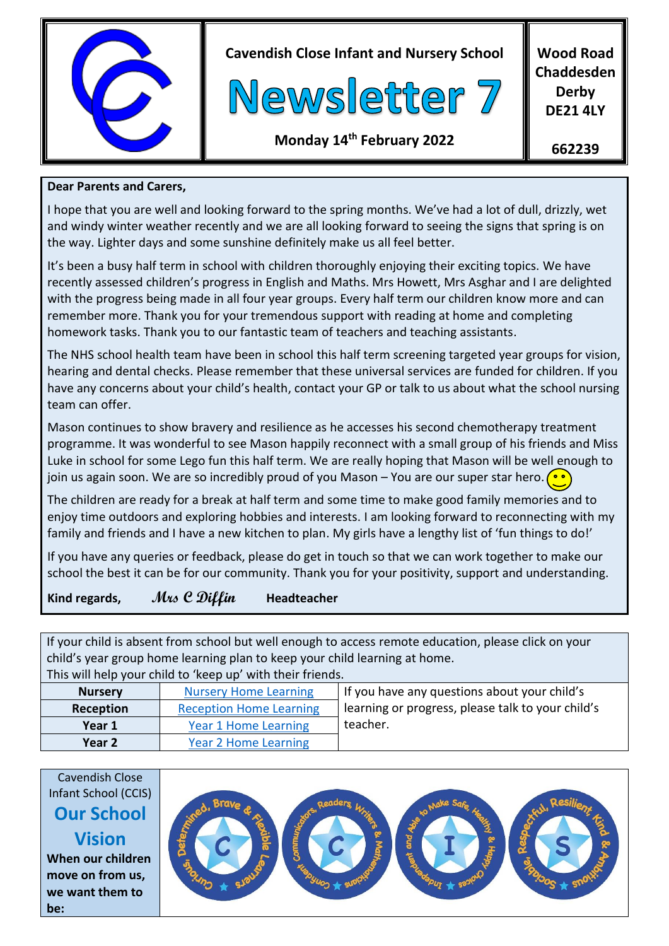

**Cavendish Close Infant and Nursery School**



**Wood Road Chaddesden Derby DE21 4LY**

**Monday 14th February 2022**

**662239**

#### **Dear Parents and Carers,**

I hope that you are well and looking forward to the spring months. We've had a lot of dull, drizzly, wet and windy winter weather recently and we are all looking forward to seeing the signs that spring is on the way. Lighter days and some sunshine definitely make us all feel better.

It's been a busy half term in school with children thoroughly enjoying their exciting topics. We have recently assessed children's progress in English and Maths. Mrs Howett, Mrs Asghar and I are delighted with the progress being made in all four year groups. Every half term our children know more and can remember more. Thank you for your tremendous support with reading at home and completing homework tasks. Thank you to our fantastic team of teachers and teaching assistants.

The NHS school health team have been in school this half term screening targeted year groups for vision, hearing and dental checks. Please remember that these universal services are funded for children. If you have any concerns about your child's health, contact your GP or talk to us about what the school nursing team can offer.

Mason continues to show bravery and resilience as he accesses his second chemotherapy treatment programme. It was wonderful to see Mason happily reconnect with a small group of his friends and Miss Luke in school for some Lego fun this half term. We are really hoping that Mason will be well enough to join us again soon. We are so incredibly proud of you Mason – You are our super star hero.  $\bigcirc$ 

The children are ready for a break at half term and some time to make good family memories and to enjoy time outdoors and exploring hobbies and interests. I am looking forward to reconnecting with my family and friends and I have a new kitchen to plan. My girls have a lengthy list of 'fun things to do!'

If you have any queries or feedback, please do get in touch so that we can work together to make our school the best it can be for our community. Thank you for your positivity, support and understanding.

### **Kind regards, Mrs C Diffin Headteacher**

If your child is absent from school but well enough to access remote education, please click on your child's year group home learning plan to keep your child learning at home.

| This will help your child to 'keep up' with their friends. |                                                                                     |                                              |  |  |  |
|------------------------------------------------------------|-------------------------------------------------------------------------------------|----------------------------------------------|--|--|--|
| <b>Nursery</b>                                             | <b>Nursery Home Learning</b>                                                        | If you have any questions about your child's |  |  |  |
| Reception                                                  | learning or progress, please talk to your child's<br><b>Reception Home Learning</b> |                                              |  |  |  |
| Year 1                                                     | Year 1 Home Learning                                                                | teacher.                                     |  |  |  |
| Year 2                                                     | <b>Year 2 Home Learning</b>                                                         |                                              |  |  |  |

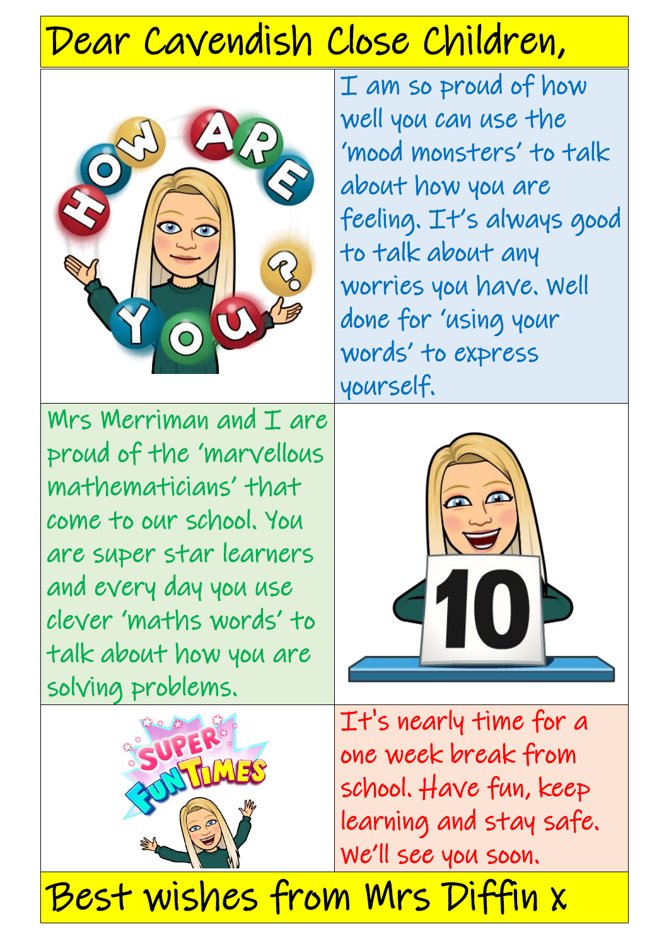# Dear Cavendish Close Children,



I am so proud of how well you can use the 'mood monsters' to talk about how you are feeling. It's always good to talk about any worries you have. Well done for 'using your words' to express yourself.

Mrs Merriman and I are proud of the 'marvellous mathematicians' that come to our school. You are super star learners and every day you use clever 'maths words' to talk about how you are solving problems.



It's nearly time for a one week break from school. Have fun, keep learning and stay safe. We'll see you soon.

Best wishes from Mrs Diffin x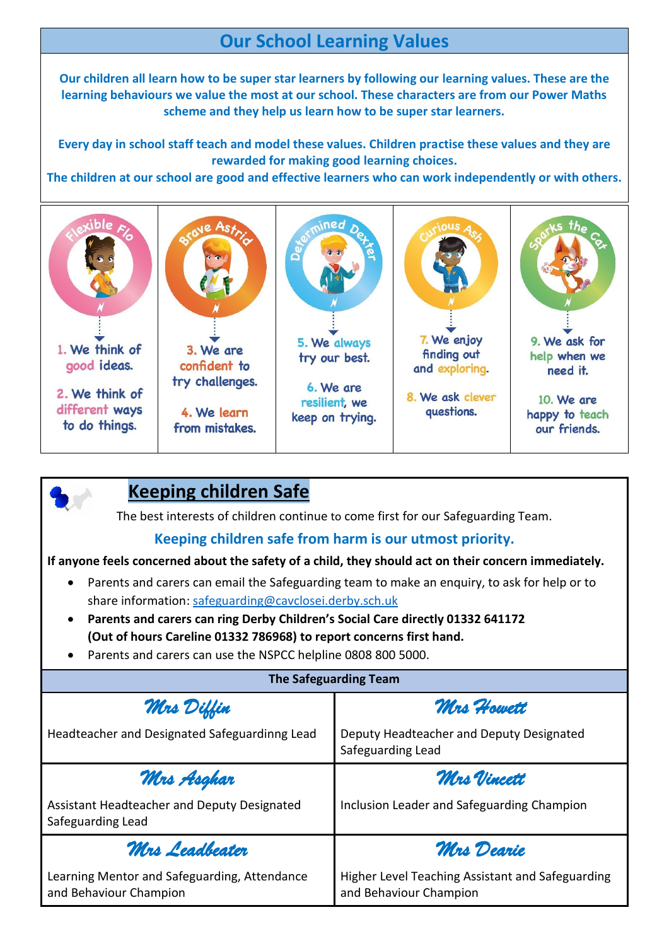## **Our School Learning Values**

**Our children all learn how to be super star learners by following our learning values. These are the learning behaviours we value the most at our school. These characters are from our Power Maths scheme and they help us learn how to be super star learners.**

**Every day in school staff teach and model these values. Children practise these values and they are rewarded for making good learning choices.**

**The children at our school are good and effective learners who can work independently or with others.**



|           | <b>Keeping children Safe</b>                                                                                                                           |
|-----------|--------------------------------------------------------------------------------------------------------------------------------------------------------|
|           | The best interests of children continue to come first for our Safeguarding Team.                                                                       |
|           | Keeping children safe from harm is our utmost priority.                                                                                                |
|           | If anyone feels concerned about the safety of a child, they should act on their concern immediately.                                                   |
|           | Parents and carers can email the Safeguarding team to make an enquiry, to ask for help or to<br>share information: safeguarding@cavclosei.derby.sch.uk |
|           | • Parents and carers can ring Derby Children's Social Care directly 01332 641172                                                                       |
|           | (Out of hours Careline 01332 786968) to report concerns first hand.                                                                                    |
| $\bullet$ | Parents and carers can use the NSPCC helpline 0808 800 5000.                                                                                           |
|           | The Safeguarding Team                                                                                                                                  |

| <b>The Safeguarding Team</b>                                           |                                                                            |  |  |  |
|------------------------------------------------------------------------|----------------------------------------------------------------------------|--|--|--|
| Mrs Diffin                                                             | Mrs Howett                                                                 |  |  |  |
| Headteacher and Designated Safeguardinng Lead                          | Deputy Headteacher and Deputy Designated<br>Safeguarding Lead              |  |  |  |
| Mrs Asghar                                                             | Mrs Vincett                                                                |  |  |  |
| Assistant Headteacher and Deputy Designated<br>Safeguarding Lead       | Inclusion Leader and Safeguarding Champion                                 |  |  |  |
| Mrs Leadbeater                                                         | Mrs Dearie                                                                 |  |  |  |
| Learning Mentor and Safeguarding, Attendance<br>and Behaviour Champion | Higher Level Teaching Assistant and Safeguarding<br>and Behaviour Champion |  |  |  |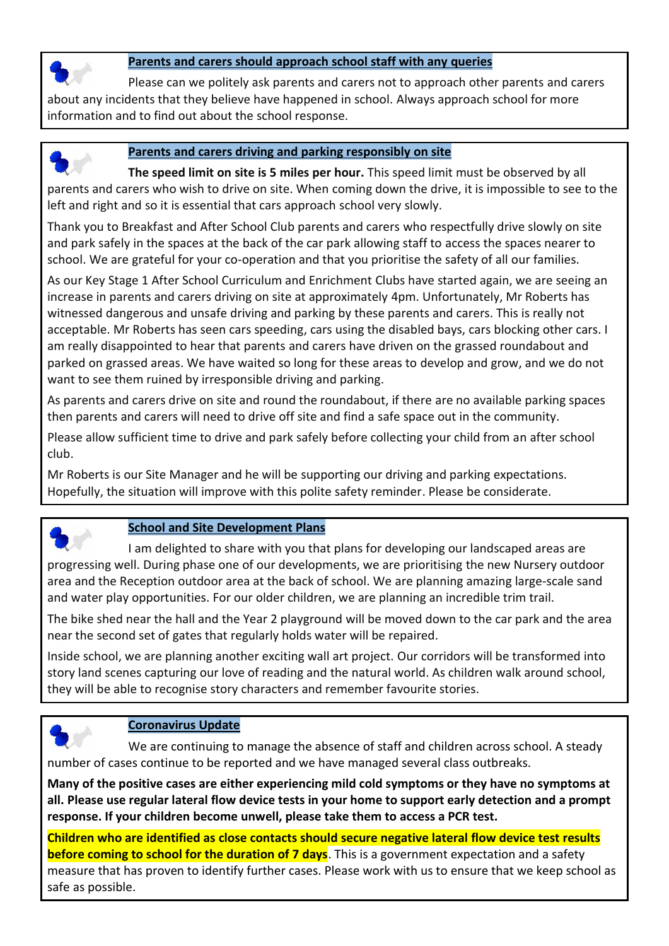

#### **Parents and carers should approach school staff with any queries**

Please can we politely ask parents and carers not to approach other parents and carers about any incidents that they believe have happened in school. Always approach school for more information and to find out about the school response.



#### **Parents and carers driving and parking responsibly on site**

**The speed limit on site is 5 miles per hour.** This speed limit must be observed by all parents and carers who wish to drive on site. When coming down the drive, it is impossible to see to the left and right and so it is essential that cars approach school very slowly.

Thank you to Breakfast and After School Club parents and carers who respectfully drive slowly on site and park safely in the spaces at the back of the car park allowing staff to access the spaces nearer to school. We are grateful for your co-operation and that you prioritise the safety of all our families.

As our Key Stage 1 After School Curriculum and Enrichment Clubs have started again, we are seeing an increase in parents and carers driving on site at approximately 4pm. Unfortunately, Mr Roberts has witnessed dangerous and unsafe driving and parking by these parents and carers. This is really not acceptable. Mr Roberts has seen cars speeding, cars using the disabled bays, cars blocking other cars. I am really disappointed to hear that parents and carers have driven on the grassed roundabout and parked on grassed areas. We have waited so long for these areas to develop and grow, and we do not want to see them ruined by irresponsible driving and parking.

As parents and carers drive on site and round the roundabout, if there are no available parking spaces then parents and carers will need to drive off site and find a safe space out in the community.

Please allow sufficient time to drive and park safely before collecting your child from an after school club.

Mr Roberts is our Site Manager and he will be supporting our driving and parking expectations. Hopefully, the situation will improve with this polite safety reminder. Please be considerate.



#### **School and Site Development Plans**

I am delighted to share with you that plans for developing our landscaped areas are progressing well. During phase one of our developments, we are prioritising the new Nursery outdoor area and the Reception outdoor area at the back of school. We are planning amazing large-scale sand and water play opportunities. For our older children, we are planning an incredible trim trail.

The bike shed near the hall and the Year 2 playground will be moved down to the car park and the area near the second set of gates that regularly holds water will be repaired.

Inside school, we are planning another exciting wall art project. Our corridors will be transformed into story land scenes capturing our love of reading and the natural world. As children walk around school, they will be able to recognise story characters and remember favourite stories.



#### **Coronavirus Update**

We are continuing to manage the absence of staff and children across school. A steady number of cases continue to be reported and we have managed several class outbreaks.

**Many of the positive cases are either experiencing mild cold symptoms or they have no symptoms at all. Please use regular lateral flow device tests in your home to support early detection and a prompt response. If your children become unwell, please take them to access a PCR test.**

**Children who are identified as close contacts should secure negative lateral flow device test results before coming to school for the duration of 7 days**. This is a government expectation and a safety measure that has proven to identify further cases. Please work with us to ensure that we keep school as safe as possible.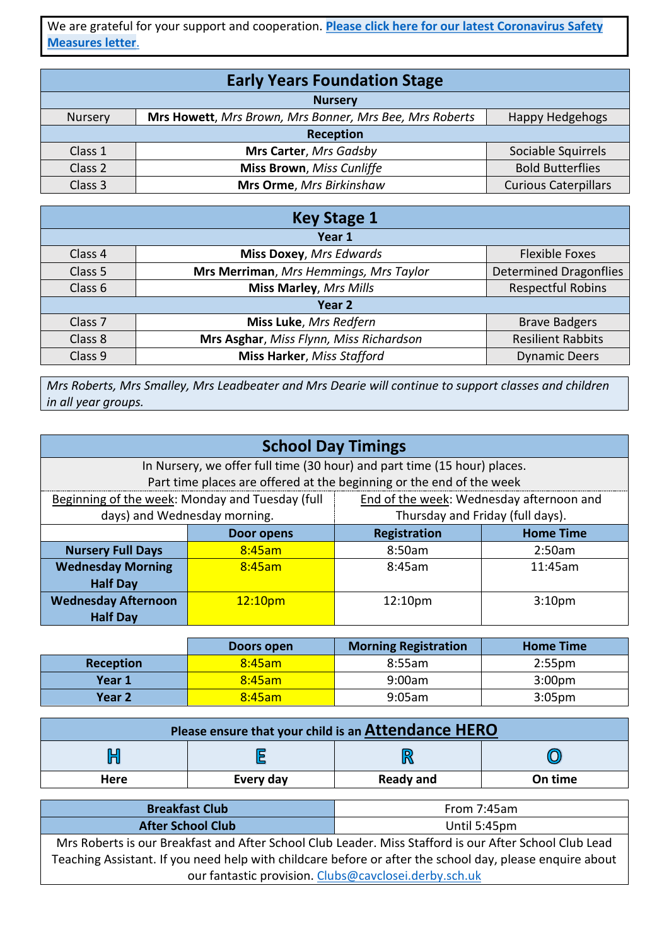We are grateful for your support and cooperation. **[Please click here for our latest Coronavirus Safety](https://www.cavclosei.derby.sch.uk/wp-content/uploads/2022/02/Coronavirus-Safety-Measures-Feb-22.pdf)  [Measures letter](https://www.cavclosei.derby.sch.uk/wp-content/uploads/2022/02/Coronavirus-Safety-Measures-Feb-22.pdf)**.

| <b>Early Years Foundation Stage</b> |                                                         |                             |  |  |
|-------------------------------------|---------------------------------------------------------|-----------------------------|--|--|
| <b>Nursery</b>                      |                                                         |                             |  |  |
| Nursery                             | Mrs Howett, Mrs Brown, Mrs Bonner, Mrs Bee, Mrs Roberts | Happy Hedgehogs             |  |  |
| Reception                           |                                                         |                             |  |  |
| Class 1                             | Mrs Carter, Mrs Gadsby                                  | Sociable Squirrels          |  |  |
| Class 2                             | <b>Miss Brown</b> , Miss Cunliffe                       | <b>Bold Butterflies</b>     |  |  |
| Class 3                             | Mrs Orme, Mrs Birkinshaw                                | <b>Curious Caterpillars</b> |  |  |

| <b>Key Stage 1</b> |                                         |                               |  |  |
|--------------------|-----------------------------------------|-------------------------------|--|--|
|                    | Year 1                                  |                               |  |  |
| Class 4            | <b>Miss Doxey, Mrs Edwards</b>          | <b>Flexible Foxes</b>         |  |  |
| Class 5            | Mrs Merriman, Mrs Hemmings, Mrs Taylor  | <b>Determined Dragonflies</b> |  |  |
| Class 6            | <b>Miss Marley, Mrs Mills</b>           | <b>Respectful Robins</b>      |  |  |
| Year 2             |                                         |                               |  |  |
| Class <sub>7</sub> | Miss Luke, Mrs Redfern                  | <b>Brave Badgers</b>          |  |  |
| Class 8            | Mrs Asghar, Miss Flynn, Miss Richardson | <b>Resilient Rabbits</b>      |  |  |
| Class 9            | <b>Miss Harker, Miss Stafford</b>       | <b>Dynamic Deers</b>          |  |  |

*Mrs Roberts, Mrs Smalley, Mrs Leadbeater and Mrs Dearie will continue to support classes and children in all year groups.*

| <b>School Day Timings</b>  |                                                                          |                                                                      |         |  |  |  |
|----------------------------|--------------------------------------------------------------------------|----------------------------------------------------------------------|---------|--|--|--|
|                            | In Nursery, we offer full time (30 hour) and part time (15 hour) places. |                                                                      |         |  |  |  |
|                            |                                                                          | Part time places are offered at the beginning or the end of the week |         |  |  |  |
|                            | Beginning of the week: Monday and Tuesday (full                          | End of the week: Wednesday afternoon and                             |         |  |  |  |
|                            | days) and Wednesday morning.                                             | Thursday and Friday (full days).                                     |         |  |  |  |
|                            | Door opens                                                               | Registration<br><b>Home Time</b>                                     |         |  |  |  |
| <b>Nursery Full Days</b>   | 8:45am<br>8:50am                                                         |                                                                      | 2:50am  |  |  |  |
| <b>Wednesday Morning</b>   | 8:45am                                                                   | 8:45am                                                               | 11:45am |  |  |  |
| <b>Half Day</b>            |                                                                          |                                                                      |         |  |  |  |
| <b>Wednesday Afternoon</b> | 12:10pm<br>12:10 <sub>pm</sub><br>3:10 <sub>pm</sub>                     |                                                                      |         |  |  |  |
| <b>Half Day</b>            |                                                                          |                                                                      |         |  |  |  |

|           | Doors open       | <b>Morning Registration</b> | <b>Home Time</b>   |  |
|-----------|------------------|-----------------------------|--------------------|--|
| Reception | 8:45am<br>8:55am |                             | 2:55 <sub>pm</sub> |  |
| Year 1    | $8:45$ am        | 9:00am                      | 3:00 <sub>pm</sub> |  |
| Year 2    | $8:45$ am        | $9:05$ am                   | 3:05 <sub>pm</sub> |  |

| Please ensure that your child is an Attendance HERO |  |  |  |  |  |
|-----------------------------------------------------|--|--|--|--|--|
|                                                     |  |  |  |  |  |
| Every day<br><b>Ready and</b><br>On time<br>Here    |  |  |  |  |  |

| <b>Breakfast Club</b>    | From 7:45am  |  |
|--------------------------|--------------|--|
| <b>After School Club</b> | Until 5:45pm |  |

Mrs Roberts is our Breakfast and After School Club Leader. Miss Stafford is our After School Club Lead Teaching Assistant. If you need help with childcare before or after the school day, please enquire about our fantastic provision. [Clubs@cavclosei.derby.sch.uk](mailto:Clubs@cavclosei.derby.sch.uk)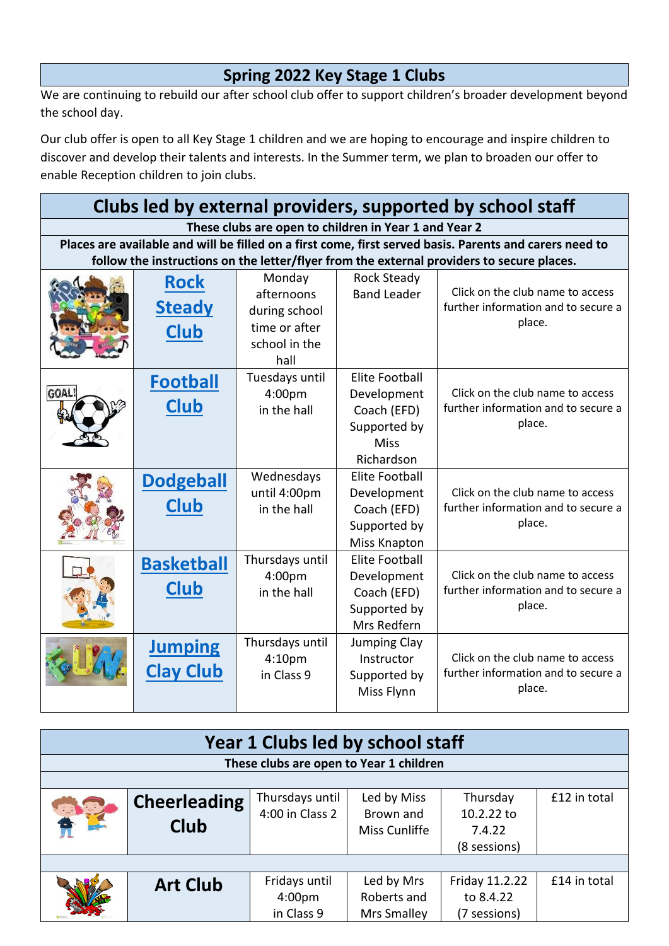## **Spring 2022 Key Stage 1 Clubs**

We are continuing to rebuild our after school club offer to support children's broader development beyond the school day.

Our club offer is open to all Key Stage 1 children and we are hoping to encourage and inspire children to discover and develop their talents and interests. In the Summer term, we plan to broaden our offer to enable Reception children to join clubs.

| Clubs led by external providers, supported by school staff |                   |                                                       |                                |                                                                                                         |  |
|------------------------------------------------------------|-------------------|-------------------------------------------------------|--------------------------------|---------------------------------------------------------------------------------------------------------|--|
|                                                            |                   | These clubs are open to children in Year 1 and Year 2 |                                |                                                                                                         |  |
|                                                            |                   |                                                       |                                | Places are available and will be filled on a first come, first served basis. Parents and carers need to |  |
|                                                            |                   |                                                       |                                | follow the instructions on the letter/flyer from the external providers to secure places.               |  |
|                                                            | <b>Rock</b>       | Monday                                                | <b>Rock Steady</b>             |                                                                                                         |  |
|                                                            | <b>Steady</b>     | afternoons                                            | <b>Band Leader</b>             | Click on the club name to access<br>further information and to secure a                                 |  |
|                                                            |                   | during school<br>time or after                        |                                | place.                                                                                                  |  |
|                                                            | <b>Club</b>       | school in the                                         |                                |                                                                                                         |  |
|                                                            |                   | hall                                                  |                                |                                                                                                         |  |
|                                                            |                   | Tuesdays until                                        | <b>Elite Football</b>          |                                                                                                         |  |
|                                                            | <b>Football</b>   | 4:00pm                                                | Development                    | Click on the club name to access                                                                        |  |
|                                                            | <b>Club</b>       | in the hall                                           | Coach (EFD)                    | further information and to secure a                                                                     |  |
|                                                            |                   |                                                       | Supported by                   | place.                                                                                                  |  |
|                                                            |                   |                                                       | <b>Miss</b>                    |                                                                                                         |  |
|                                                            |                   |                                                       | Richardson                     |                                                                                                         |  |
|                                                            | <b>Dodgeball</b>  | Wednesdays                                            | <b>Elite Football</b>          |                                                                                                         |  |
|                                                            | <b>Club</b>       | until 4:00pm                                          | Development                    | Click on the club name to access                                                                        |  |
|                                                            |                   | in the hall                                           | Coach (EFD)                    | further information and to secure a<br>place.                                                           |  |
|                                                            |                   |                                                       | Supported by                   |                                                                                                         |  |
|                                                            |                   |                                                       | Miss Knapton<br>Elite Football |                                                                                                         |  |
|                                                            | <b>Basketball</b> | Thursdays until<br>4:00 <sub>pm</sub>                 | Development                    | Click on the club name to access                                                                        |  |
|                                                            | <b>Club</b>       | in the hall                                           | Coach (EFD)                    | further information and to secure a                                                                     |  |
|                                                            |                   |                                                       | Supported by                   | place.                                                                                                  |  |
|                                                            |                   |                                                       | Mrs Redfern                    |                                                                                                         |  |
|                                                            | <b>Jumping</b>    | Thursdays until                                       | <b>Jumping Clay</b>            |                                                                                                         |  |
|                                                            |                   | 4:10pm                                                | Instructor                     | Click on the club name to access                                                                        |  |
|                                                            | <b>Clay Club</b>  | in Class 9                                            | Supported by                   | further information and to secure a                                                                     |  |
|                                                            |                   |                                                       | Miss Flynn                     | place.                                                                                                  |  |

| Year 1 Clubs led by school staff |                     |                                         |               |                |              |  |
|----------------------------------|---------------------|-----------------------------------------|---------------|----------------|--------------|--|
|                                  |                     | These clubs are open to Year 1 children |               |                |              |  |
|                                  |                     |                                         |               |                |              |  |
|                                  | <b>Cheerleading</b> | Thursdays until                         | Led by Miss   | Thursday       | £12 in total |  |
|                                  |                     | 4:00 in Class 2                         | Brown and     | 10.2.22 to     |              |  |
|                                  | <b>Club</b>         |                                         | Miss Cunliffe | 7.4.22         |              |  |
|                                  |                     |                                         |               | (8 sessions)   |              |  |
|                                  |                     |                                         |               |                |              |  |
|                                  | <b>Art Club</b>     | Fridays until                           | Led by Mrs    | Friday 11.2.22 | £14 in total |  |
|                                  |                     | 4:00 <sub>pm</sub>                      | Roberts and   | to 8.4.22      |              |  |
|                                  |                     | in Class 9                              | Mrs Smalley   | (7 sessions)   |              |  |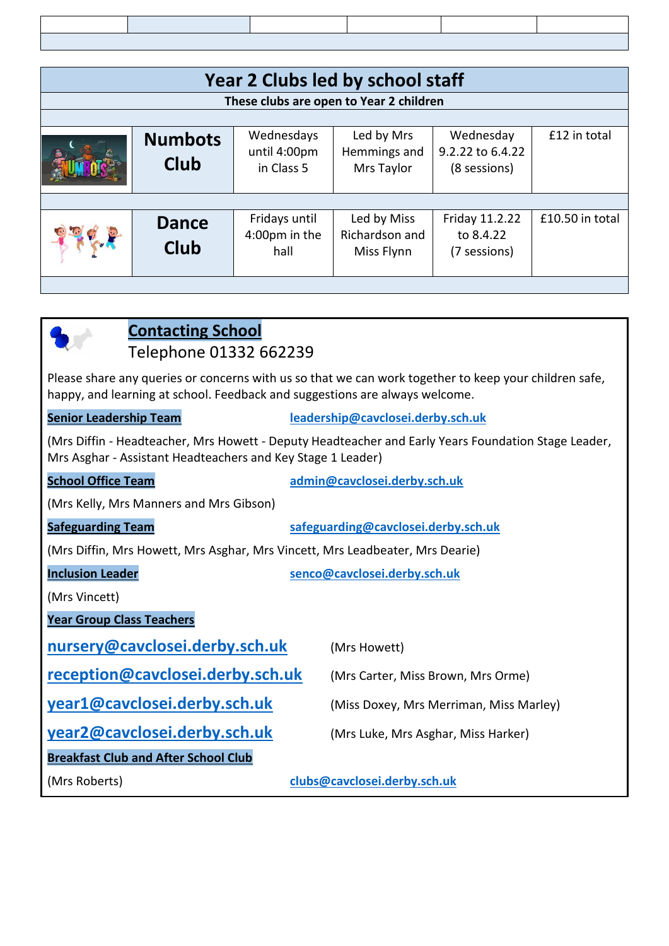| Year 2 Clubs led by school staff        |                               |                                          |                                             |                                               |                 |  |
|-----------------------------------------|-------------------------------|------------------------------------------|---------------------------------------------|-----------------------------------------------|-----------------|--|
| These clubs are open to Year 2 children |                               |                                          |                                             |                                               |                 |  |
|                                         |                               |                                          |                                             |                                               |                 |  |
|                                         | <b>Numbots</b><br><b>Club</b> | Wednesdays<br>until 4:00pm<br>in Class 5 | Led by Mrs<br>Hemmings and<br>Mrs Taylor    | Wednesday<br>9.2.22 to 6.4.22<br>(8 sessions) | £12 in total    |  |
|                                         |                               |                                          |                                             |                                               |                 |  |
|                                         | <b>Dance</b><br><b>Club</b>   | Fridays until<br>4:00pm in the<br>hall   | Led by Miss<br>Richardson and<br>Miss Flynn | Friday 11.2.22<br>to 8.4.22<br>(7 sessions)   | £10.50 in total |  |
|                                         |                               |                                          |                                             |                                               |                 |  |

| <b>Contacting School</b><br>Telephone 01332 662239                                                                                                                                   |                                         |  |  |  |
|--------------------------------------------------------------------------------------------------------------------------------------------------------------------------------------|-----------------------------------------|--|--|--|
| Please share any queries or concerns with us so that we can work together to keep your children safe,<br>happy, and learning at school. Feedback and suggestions are always welcome. |                                         |  |  |  |
| <b>Senior Leadership Team</b>                                                                                                                                                        | leadership@cavclosei.derby.sch.uk       |  |  |  |
| (Mrs Diffin - Headteacher, Mrs Howett - Deputy Headteacher and Early Years Foundation Stage Leader,<br>Mrs Asghar - Assistant Headteachers and Key Stage 1 Leader)                   |                                         |  |  |  |
| <b>School Office Team</b>                                                                                                                                                            | admin@cavclosei.derby.sch.uk            |  |  |  |
| (Mrs Kelly, Mrs Manners and Mrs Gibson)                                                                                                                                              |                                         |  |  |  |
| <b>Safeguarding Team</b>                                                                                                                                                             | safeguarding@cavclosei.derby.sch.uk     |  |  |  |
| (Mrs Diffin, Mrs Howett, Mrs Asghar, Mrs Vincett, Mrs Leadbeater, Mrs Dearie)                                                                                                        |                                         |  |  |  |
| <b>Inclusion Leader</b>                                                                                                                                                              | senco@cavclosei.derby.sch.uk            |  |  |  |
| (Mrs Vincett)                                                                                                                                                                        |                                         |  |  |  |
| <b>Year Group Class Teachers</b>                                                                                                                                                     |                                         |  |  |  |
| nursery@cavclosei.derby.sch.uk                                                                                                                                                       | (Mrs Howett)                            |  |  |  |
| reception@cavclosei.derby.sch.uk                                                                                                                                                     | (Mrs Carter, Miss Brown, Mrs Orme)      |  |  |  |
| year1@cavclosei.derby.sch.uk                                                                                                                                                         | (Miss Doxey, Mrs Merriman, Miss Marley) |  |  |  |
| year2@cavclosei.derby.sch.uk                                                                                                                                                         | (Mrs Luke, Mrs Asghar, Miss Harker)     |  |  |  |
| <b>Breakfast Club and After School Club</b>                                                                                                                                          |                                         |  |  |  |
| (Mrs Roberts)                                                                                                                                                                        | clubs@cavclosei.derby.sch.uk            |  |  |  |